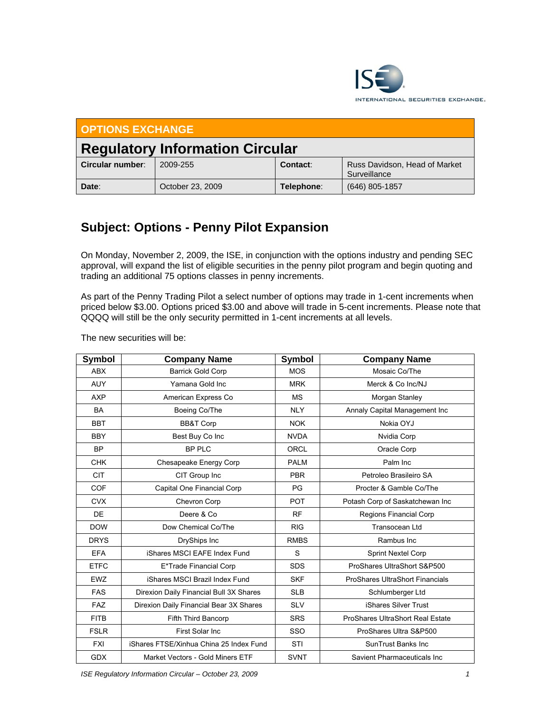

| <b>OPTIONS EXCHANGE</b>                |                  |            |                                               |  |  |  |
|----------------------------------------|------------------|------------|-----------------------------------------------|--|--|--|
| <b>Regulatory Information Circular</b> |                  |            |                                               |  |  |  |
| Circular number:                       | 2009-255         | Contact:   | Russ Davidson, Head of Market<br>Surveillance |  |  |  |
| Date:                                  | October 23, 2009 | Telephone: | $(646)$ 805-1857                              |  |  |  |

## **Subject: Options - Penny Pilot Expansion**

On Monday, November 2, 2009, the ISE, in conjunction with the options industry and pending SEC approval, will expand the list of eligible securities in the penny pilot program and begin quoting and trading an additional 75 options classes in penny increments.

As part of the Penny Trading Pilot a select number of options may trade in 1-cent increments when priced below \$3.00. Options priced \$3.00 and above will trade in 5-cent increments. Please note that QQQQ will still be the only security permitted in 1-cent increments at all levels.

The new securities will be:

| Symbol      | <b>Company Name</b>                     | Symbol      | <b>Company Name</b>                     |
|-------------|-----------------------------------------|-------------|-----------------------------------------|
| <b>ABX</b>  | <b>Barrick Gold Corp</b>                | <b>MOS</b>  | Mosaic Co/The                           |
| <b>AUY</b>  | Yamana Gold Inc                         | <b>MRK</b>  | Merck & Co Inc/NJ                       |
| <b>AXP</b>  | American Express Co                     | <b>MS</b>   | Morgan Stanley                          |
| <b>BA</b>   | Boeing Co/The                           | <b>NLY</b>  | Annaly Capital Management Inc           |
| <b>BBT</b>  | <b>BB&amp;T Corp</b>                    | <b>NOK</b>  | Nokia OYJ                               |
| <b>BBY</b>  | Best Buy Co Inc                         | <b>NVDA</b> | Nvidia Corp                             |
| <b>BP</b>   | <b>BP PLC</b>                           | ORCL        | Oracle Corp                             |
| <b>CHK</b>  | Chesapeake Energy Corp                  | <b>PALM</b> | Palm Inc                                |
| <b>CIT</b>  | CIT Group Inc                           | <b>PBR</b>  | Petroleo Brasileiro SA                  |
| COF         | Capital One Financial Corp              | <b>PG</b>   | Procter & Gamble Co/The                 |
| <b>CVX</b>  | Chevron Corp                            | <b>POT</b>  | Potash Corp of Saskatchewan Inc         |
| DE          | Deere & Co.                             | <b>RF</b>   | Regions Financial Corp                  |
| <b>DOW</b>  | Dow Chemical Co/The                     | <b>RIG</b>  | Transocean Ltd                          |
| <b>DRYS</b> | DryShips Inc                            | <b>RMBS</b> | Rambus Inc                              |
| <b>EFA</b>  | iShares MSCI EAFE Index Fund            | S           | <b>Sprint Nextel Corp</b>               |
| <b>ETFC</b> | E*Trade Financial Corp                  | <b>SDS</b>  | ProShares UltraShort S&P500             |
| <b>EWZ</b>  | iShares MSCI Brazil Index Fund          | <b>SKF</b>  | <b>ProShares UltraShort Financials</b>  |
| <b>FAS</b>  | Direxion Daily Financial Bull 3X Shares | <b>SLB</b>  | Schlumberger Ltd                        |
| <b>FAZ</b>  | Direxion Daily Financial Bear 3X Shares | <b>SLV</b>  | iShares Silver Trust                    |
| <b>FITB</b> | Fifth Third Bancorp                     | <b>SRS</b>  | <b>ProShares UltraShort Real Estate</b> |
| <b>FSLR</b> | First Solar Inc                         | SSO         | ProShares Ultra S&P500                  |
| <b>FXI</b>  | iShares FTSE/Xinhua China 25 Index Fund | STI         | SunTrust Banks Inc                      |
| <b>GDX</b>  | Market Vectors - Gold Miners ETF        | <b>SVNT</b> | Savient Pharmaceuticals Inc             |

*ISE Regulatory Information Circular – October 23, 2009 1*